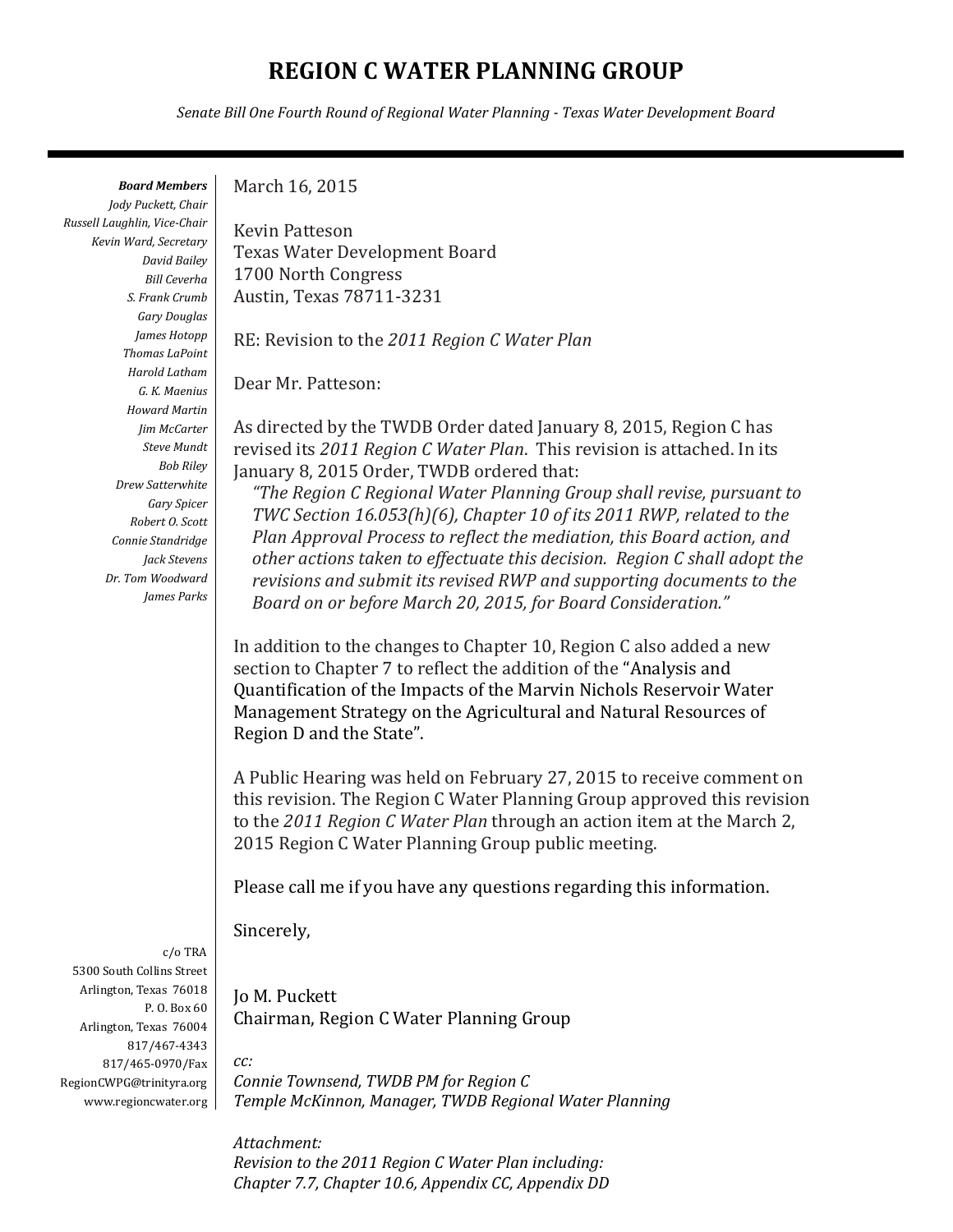# **REGION C WATER PLANNING GROUP**

*Senate Bill One Fourth Round of Regional Water Planning - Texas Water Development Board*

*Board Members*

*Jody Puckett, Chair Russell Laughlin, Vice-Chair Kevin Ward, Secretary David Bailey Bill Ceverha S. Frank Crumb Gary Douglas James Hotopp Thomas LaPoint Harold Latham G. K. Maenius Howard Martin Jim McCarter Steve Mundt Bob Riley Drew Satterwhite Gary Spicer Robert O. Scott Connie Standridge Jack Stevens Dr. Tom Woodward James Parks*

c/o TRA 5300 South Collins Street Arlington, Texas 76018 P. O. Box 60 Arlington, Texas 76004 817/467-4343 817/465-0970/Fax RegionCWPG@trinityra.org www.regioncwater.org March 16, 2015

Kevin Patteson Texas Water Development Board 1700 North Congress Austin, Texas 78711-3231

RE: Revision to the *2011 Region C Water Plan*

Dear Mr. Patteson:

As directed by the TWDB Order dated January 8, 2015, Region C has revised its *2011 Region C Water Plan*. This revision is attached. In its January 8, 2015 Order, TWDB ordered that:

*"The Region C Regional Water Planning Group shall revise, pursuant to TWC Section 16.053(h)(6), Chapter 10 of its 2011 RWP, related to the Plan Approval Process to reflect the mediation, this Board action, and other actions taken to effectuate this decision. Region C shall adopt the revisions and submit its revised RWP and supporting documents to the Board on or before March 20, 2015, for Board Consideration."*

In addition to the changes to Chapter 10, Region C also added a new section to Chapter 7 to reflect the addition of the "Analysis and Quantification of the Impacts of the Marvin Nichols Reservoir Water Management Strategy on the Agricultural and Natural Resources of Region D and the State".

A Public Hearing was held on February 27, 2015 to receive comment on this revision. The Region C Water Planning Group approved this revision to the *2011 Region C Water Plan* through an action item at the March 2, 2015 Region C Water Planning Group public meeting.

Please call me if you have any questions regarding this information.

Sincerely,

*cc:* 

Jo M. Puckett Chairman, Region C Water Planning Group

*Connie Townsend, TWDB PM for Region C Temple McKinnon, Manager, TWDB Regional Water Planning*

*Attachment: Revision to the 2011 Region C Water Plan including: Chapter 7.7, Chapter 10.6, Appendix CC, Appendix DD*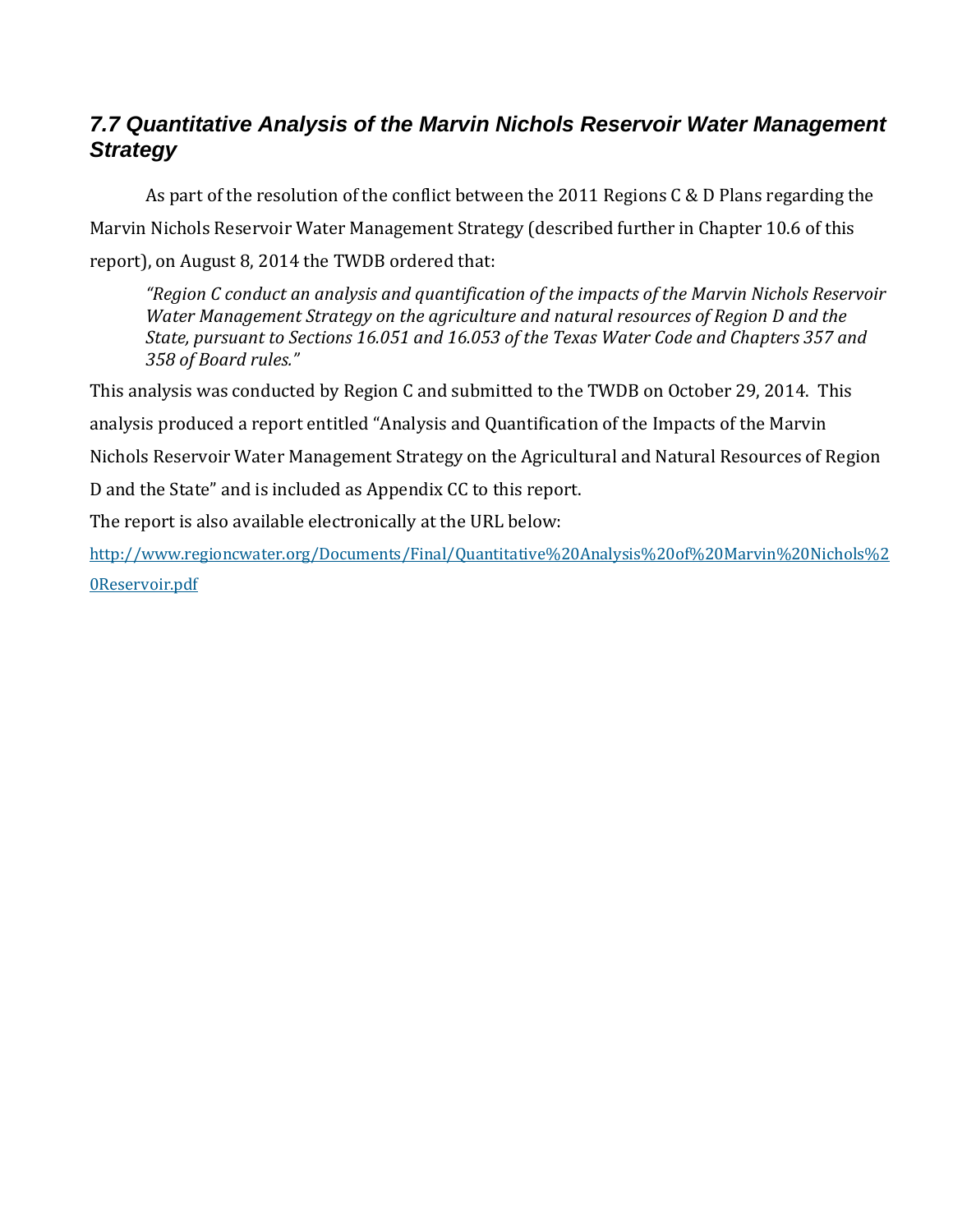# *7.7 Quantitative Analysis of the Marvin Nichols Reservoir Water Management Strategy*

As part of the resolution of the conflict between the 2011 Regions C & D Plans regarding the Marvin Nichols Reservoir Water Management Strategy (described further in Chapter 10.6 of this report), on August 8, 2014 the TWDB ordered that:

*"Region C conduct an analysis and quantification of the impacts of the Marvin Nichols Reservoir Water Management Strategy on the agriculture and natural resources of Region D and the State, pursuant to Sections 16.051 and 16.053 of the Texas Water Code and Chapters 357 and 358 of Board rules."*

This analysis was conducted by Region C and submitted to the TWDB on October 29, 2014. This analysis produced a report entitled "Analysis and Quantification of the Impacts of the Marvin Nichols Reservoir Water Management Strategy on the Agricultural and Natural Resources of Region D and the State" and is included as Appendix CC to this report.

The report is also available electronically at the URL below:

[http://www.regioncwater.org/Documents/Final/Quantitative%20Analysis%20of%20Marvin%20Nichols%2](http://www.regioncwater.org/Documents/Final/Quantitative%20Analysis%20of%20Marvin%20Nichols%20Reservoir.pdf) [0Reservoir.pdf](http://www.regioncwater.org/Documents/Final/Quantitative%20Analysis%20of%20Marvin%20Nichols%20Reservoir.pdf)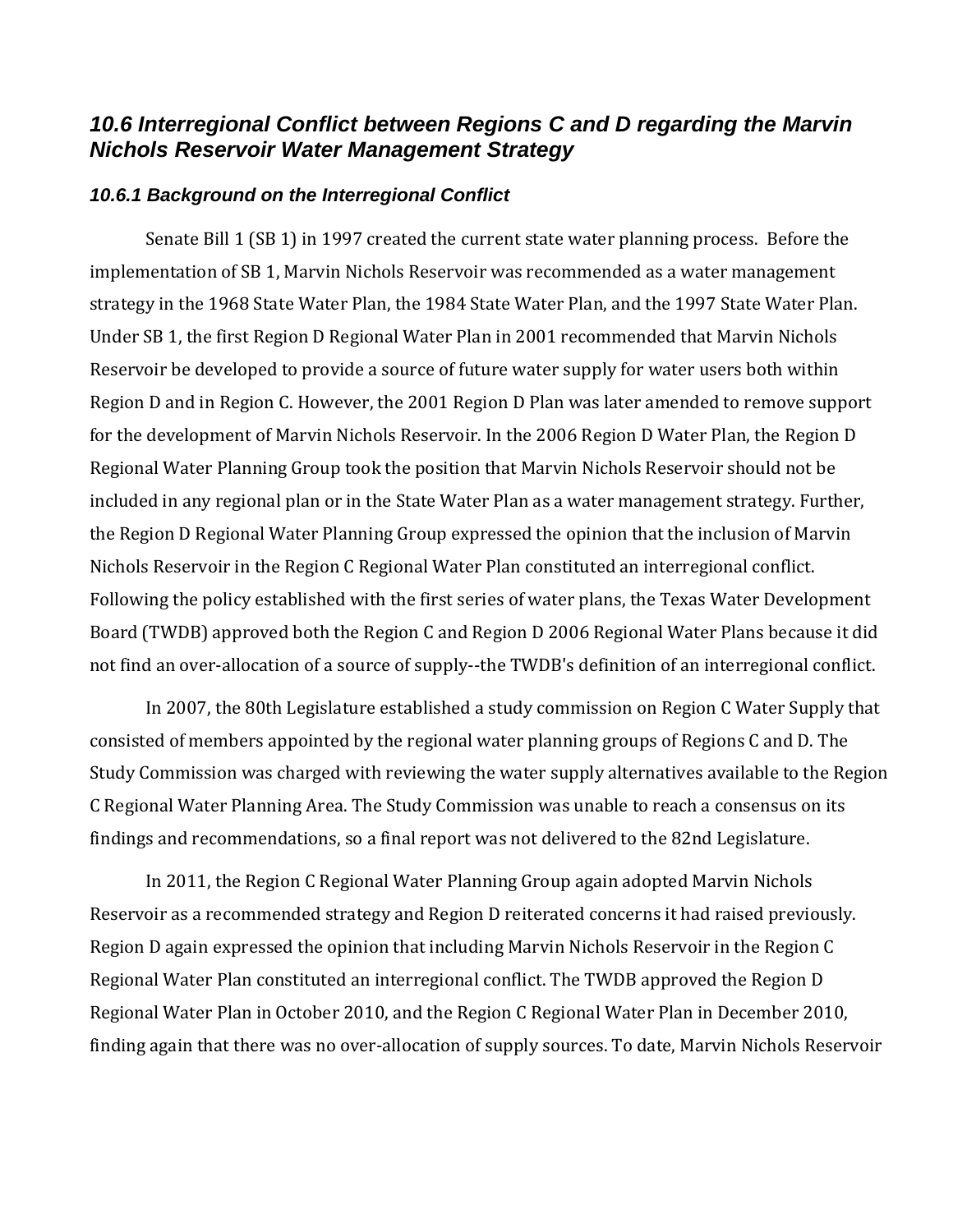## *10.6 Interregional Conflict between Regions C and D regarding the Marvin Nichols Reservoir Water Management Strategy*

#### *10.6.1 Background on the Interregional Conflict*

Senate Bill 1 (SB 1) in 1997 created the current state water planning process. Before the implementation of SB 1, Marvin Nichols Reservoir was recommended as a water management strategy in the 1968 State Water Plan, the 1984 State Water Plan, and the 1997 State Water Plan. Under SB 1, the first Region D Regional Water Plan in 2001 recommended that Marvin Nichols Reservoir be developed to provide a source of future water supply for water users both within Region D and in Region C. However, the 2001 Region D Plan was later amended to remove support for the development of Marvin Nichols Reservoir. In the 2006 Region D Water Plan, the Region D Regional Water Planning Group took the position that Marvin Nichols Reservoir should not be included in any regional plan or in the State Water Plan as a water management strategy. Further, the Region D Regional Water Planning Group expressed the opinion that the inclusion of Marvin Nichols Reservoir in the Region C Regional Water Plan constituted an interregional conflict. Following the policy established with the first series of water plans, the Texas Water Development Board (TWDB) approved both the Region C and Region D 2006 Regional Water Plans because it did not find an over-allocation of a source of supply--the TWDB's definition of an interregional conflict.

In 2007, the 80th Legislature established a study commission on Region C Water Supply that consisted of members appointed by the regional water planning groups of Regions C and D. The Study Commission was charged with reviewing the water supply alternatives available to the Region C Regional Water Planning Area. The Study Commission was unable to reach a consensus on its findings and recommendations, so a final report was not delivered to the 82nd Legislature.

In 2011, the Region C Regional Water Planning Group again adopted Marvin Nichols Reservoir as a recommended strategy and Region D reiterated concerns it had raised previously. Region D again expressed the opinion that including Marvin Nichols Reservoir in the Region C Regional Water Plan constituted an interregional conflict. The TWDB approved the Region D Regional Water Plan in October 2010, and the Region C Regional Water Plan in December 2010, finding again that there was no over-allocation of supply sources. To date, Marvin Nichols Reservoir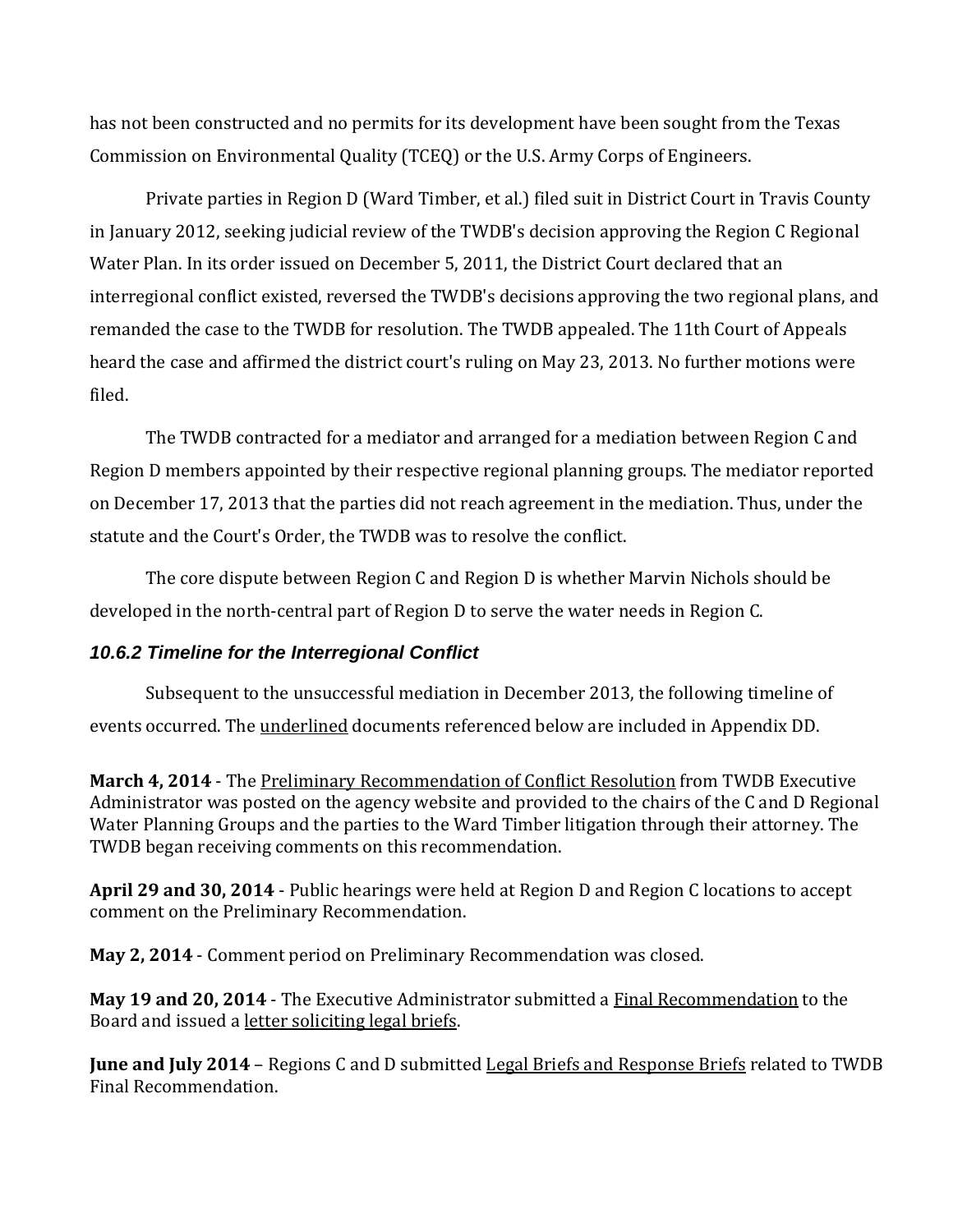has not been constructed and no permits for its development have been sought from the Texas Commission on Environmental Quality (TCEQ) or the U.S. Army Corps of Engineers.

Private parties in Region D (Ward Timber, et al.) filed suit in District Court in Travis County in January 2012, seeking judicial review of the TWDB's decision approving the Region C Regional Water Plan. In its order issued on December 5, 2011, the District Court declared that an interregional conflict existed, reversed the TWDB's decisions approving the two regional plans, and remanded the case to the TWDB for resolution. The TWDB appealed. The 11th Court of Appeals heard the case and affirmed the district court's ruling on May 23, 2013. No further motions were filed.

The TWDB contracted for a mediator and arranged for a mediation between Region C and Region D members appointed by their respective regional planning groups. The mediator reported on December 17, 2013 that the parties did not reach agreement in the mediation. Thus, under the statute and the Court's Order, the TWDB was to resolve the conflict.

The core dispute between Region C and Region D is whether Marvin Nichols should be developed in the north-central part of Region D to serve the water needs in Region C.

### *10.6.2 Timeline for the Interregional Conflict*

Subsequent to the unsuccessful mediation in December 2013, the following timeline of events occurred. The underlined documents referenced below are included in Appendix DD.

**March 4, 2014** - The Preliminary Recommendation of Conflict Resolution from TWDB Executive Administrator was posted on the agency website and provided to the chairs of the C and D Regional Water Planning Groups and the parties to the Ward Timber litigation through their attorney. The TWDB began receiving comments on this recommendation.

**April 29 and 30, 2014** - Public hearings were held at Region D and Region C locations to accept comment on the Preliminary Recommendation.

**May 2, 2014** - Comment period on Preliminary Recommendation was closed.

**May 19 and 20, 2014** - The Executive Administrator submitted a [Final](http://www.twdb.state.tx.us/board/2014/08/Board/Brd01.pdf) Recommendation to the Board and issued a letter soliciting legal briefs.

**June and July 2014** – Regions C and D submitted Legal Briefs and Response Briefs related to TWDB Final Recommendation.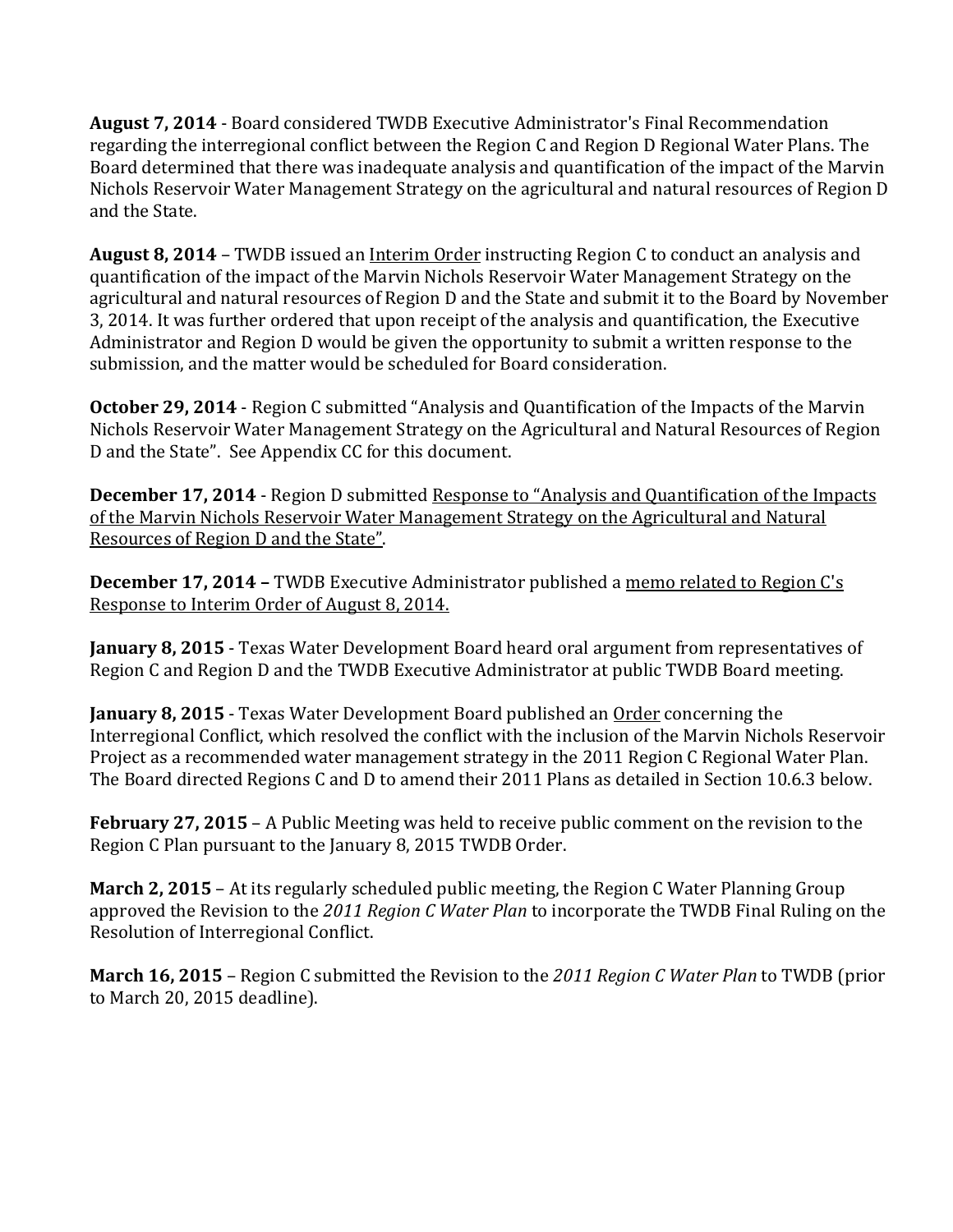**August 7, 2014** - Board considered TWDB Executive Administrator's Final Recommendation regarding the interregional conflict between the Region C and Region D Regional Water Plans. The Board determined that there was inadequate analysis and quantification of the impact of the Marvin Nichols Reservoir Water Management Strategy on the agricultural and natural resources of Region D and the State.

**August 8, 2014** – [TWDB issued an Interim Order](http://www.twdb.state.tx.us/home/tabs/doc/hot/TWDB_Interim_Order.pdf) instructing Region C to conduct an analysis and quantification of the impact of the Marvin Nichols Reservoir Water Management Strategy on the agricultural and natural resources of Region D and the State and submit it to the Board by November 3, 2014. It was further ordered that upon receipt of the analysis and quantification, the Executive Administrator and Region D would be given the opportunity to submit a written response to the submission, and the matter would be scheduled for Board consideration.

**October 29, 2014** - Region C submitted "Analysis and Quantification of the Impacts of the Marvin Nichols Reservoir Water Management Strategy on the Agricultural and Natural Resources of Region D and the State". See Appendix CC for this document.

**December 17, 2014** - Region D submitted Response to "Analysis and Quantification of the Impacts of the Marvin Nichols Reservoir Water Management Strategy on the Agricultural and Natural Resources of Region D and the State".

**December 17, 2014 –** TWDB Executive Administrator published a memo related to Region C's Response to Interim Order of August 8, 2014.

**January 8, 2015** - Texas Water Development Board heard oral argument from representatives of Region C and Region D and the TWDB Executive Administrator at public TWDB Board meeting.

**January 8, 2015** - Texas Water Development Board published an Order concerning the Interregional Conflict, which resolved the conflict with the inclusion of the Marvin Nichols Reservoir Project as a recommended water management strategy in the 2011 Region C Regional Water Plan. The Board directed Regions C and D to amend their 2011 Plans as detailed in Section 10.6.3 below.

**February 27, 2015** – A Public Meeting was held to receive public comment on the revision to the Region C Plan pursuant to the January 8, 2015 TWDB Order.

**March 2, 2015** – At its regularly scheduled public meeting, the Region C Water Planning Group approved the Revision to the *2011 Region C Water Plan* to incorporate the TWDB Final Ruling on the Resolution of Interregional Conflict.

**March 16, 2015** – Region C submitted the Revision to the *2011 Region C Water Plan* to TWDB (prior to March 20, 2015 deadline).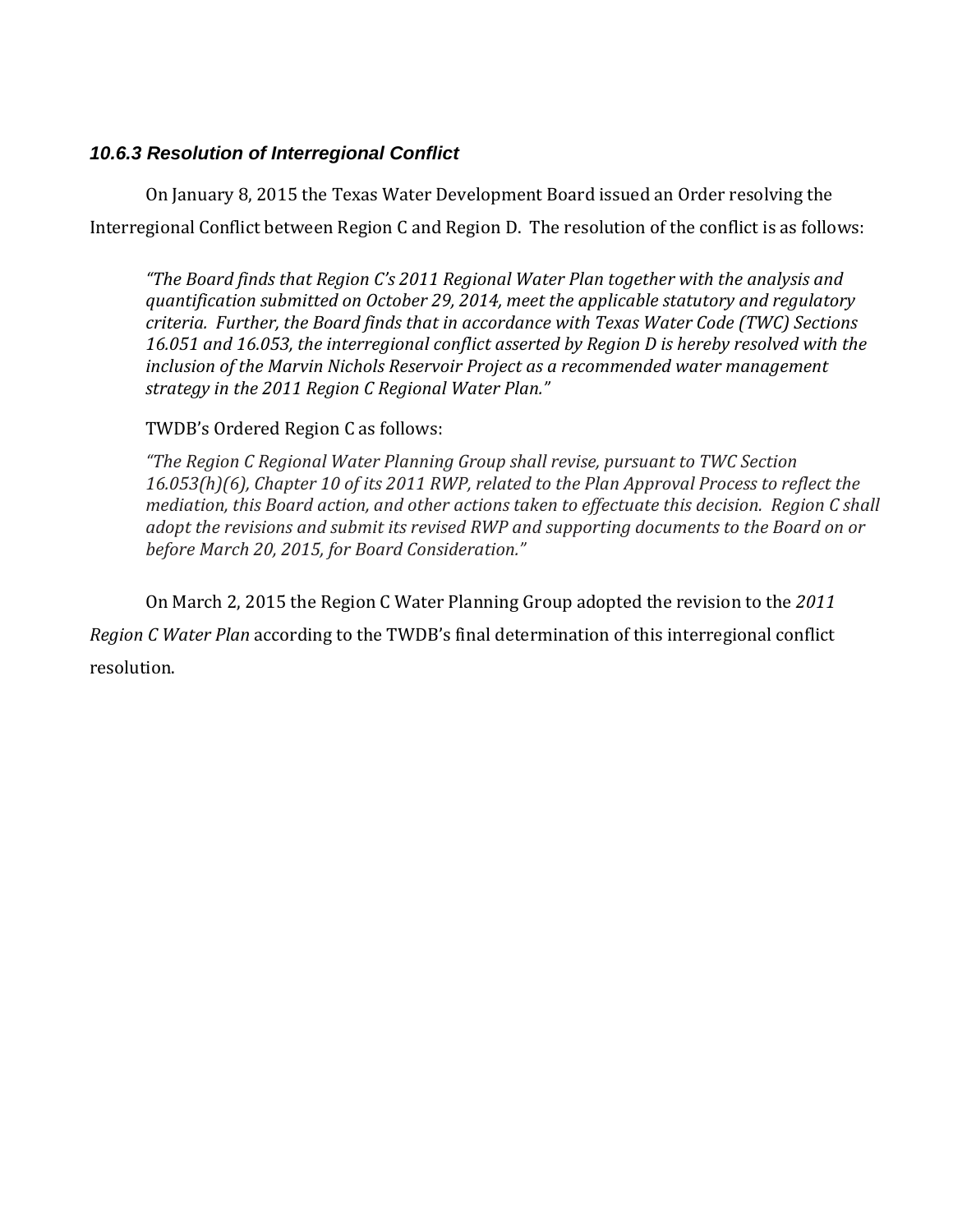## *10.6.3 Resolution of Interregional Conflict*

On January 8, 2015 the Texas Water Development Board issued an Order resolving the Interregional Conflict between Region C and Region D. The resolution of the conflict is as follows:

*"The Board finds that Region C's 2011 Regional Water Plan together with the analysis and quantification submitted on October 29, 2014, meet the applicable statutory and regulatory criteria. Further, the Board finds that in accordance with Texas Water Code (TWC) Sections 16.051 and 16.053, the interregional conflict asserted by Region D is hereby resolved with the inclusion of the Marvin Nichols Reservoir Project as a recommended water management strategy in the 2011 Region C Regional Water Plan."*

### TWDB's Ordered Region C as follows:

*"The Region C Regional Water Planning Group shall revise, pursuant to TWC Section 16.053(h)(6), Chapter 10 of its 2011 RWP, related to the Plan Approval Process to reflect the mediation, this Board action, and other actions taken to effectuate this decision. Region C shall adopt the revisions and submit its revised RWP and supporting documents to the Board on or before March 20, 2015, for Board Consideration."*

On March 2, 2015 the Region C Water Planning Group adopted the revision to the *2011 Region C Water Plan* according to the TWDB's final determination of this interregional conflict resolution.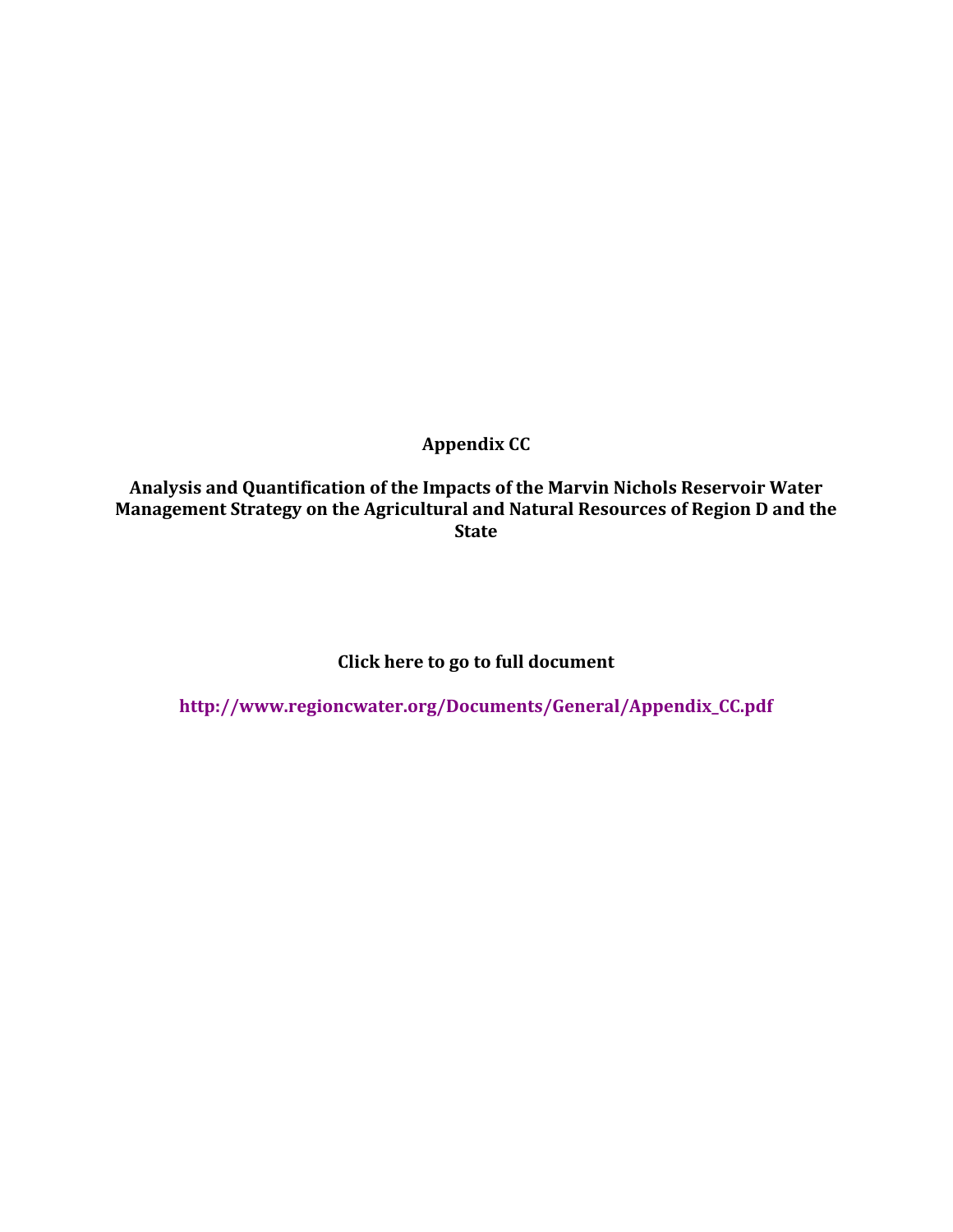**Appendix CC**

**Analysis and Quantification of the Impacts of the Marvin Nichols Reservoir Water Management Strategy on the Agricultural and Natural Resources of Region D and the State**

**Click here to go to full document**

**http://www.regioncwater.org/Documents/General/Appendix\_CC.pdf**